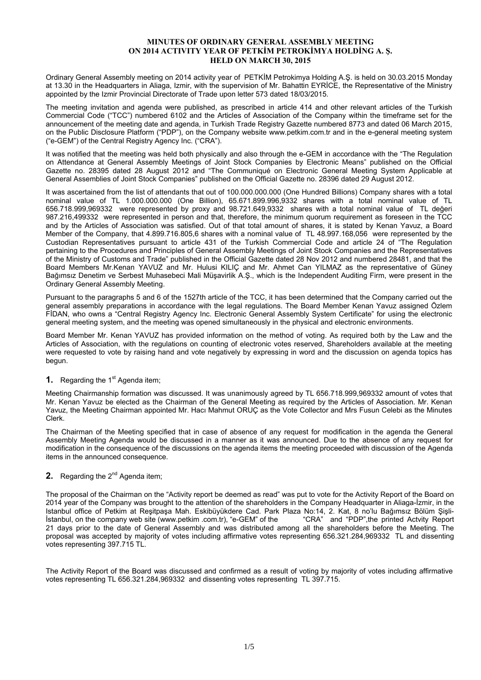### **MINUTES OF ORDINARY GENERAL ASSEMBLY MEETING ON 2014 ACTIVITY YEAR OF PETKİM PETROKİMYA HOLDİNG A. Ş. HELD ON MARCH 30, 2015**

Ordinary General Assembly meeting on 2014 activity year of PETKİM Petrokimya Holding A.Ş. is held on 30.03.2015 Monday at 13.30 in the Headquarters in Aliaga, Izmir, with the supervision of Mr. Bahattin EYRİCE, the Representative of the Ministry appointed by the Izmir Provincial Directorate of Trade upon letter 573 dated 18/03/2015.

The meeting invitation and agenda were published, as prescribed in article 414 and other relevant articles of the Turkish Commercial Code ("TCC") numbered 6102 and the Articles of Association of the Company within the timeframe set for the announcement of the meeting date and agenda, in Turkish Trade Registry Gazette numbered 8773 and dated 06 March 2015, on the Public Disclosure Platform ("PDP"), on the Company website www.petkim.com.tr and in the e-general meeting system ("e-GEM") of the Central Registry Agency Inc. ("CRA").

It was notified that the meeting was held both physically and also through the e-GEM in accordance with the "The Regulation on Attendance at General Assembly Meetings of Joint Stock Companies by Electronic Means" published on the Official Gazette no. 28395 dated 28 August 2012 and "The Communiqué on Electronic General Meeting System Applicable at General Assemblies of Joint Stock Companies" published on the Official Gazette no. 28396 dated 29 August 2012.

It was ascertained from the list of attendants that out of 100.000.000.000 (One Hundred Billions) Company shares with a total nominal value of TL 1.000.000.000 (One Billion), 65.671.899.996,9332 shares with a total nominal value of TL 656.718.999,969332 were represented by proxy and 98.721.649,9332 shares with a total nominal value of TL değeri 987.216,499332 were represented in person and that, therefore, the minimum quorum requirement as foreseen in the TCC and by the Articles of Association was satisfied. Out of that total amount of shares, it is stated by Kenan Yavuz, a Board Member of the Company, that 4.899.716.805,6 shares with a nominal value of TL 48.997.168,056 were represented by the Custodian Representatives pursuant to article 431 of the Turkish Commercial Code and article 24 of "The Regulation pertaining to the Procedures and Principles of General Assembly Meetings of Joint Stock Companies and the Representatives of the Ministry of Customs and Trade" published in the Official Gazette dated 28 Nov 2012 and numbered 28481, and that the Board Members Mr.Kenan YAVUZ and Mr. Hulusi KILIÇ and Mr. Ahmet Can YILMAZ as the representative of Güney Bağımsız Denetim ve Serbest Muhasebeci Mali Müşavirlik A.Ş., which is the Independent Auditing Firm, were present in the Ordinary General Assembly Meeting.

Pursuant to the paragraphs 5 and 6 of the 1527th article of the TCC, it has been determined that the Company carried out the general assembly preparations in accordance with the legal regulations. The Board Member Kenan Yavuz assigned Özlem FİDAN, who owns a "Central Registry Agency Inc. Electronic General Assembly System Certificate" for using the electronic general meeting system, and the meeting was opened simultaneously in the physical and electronic environments.

Board Member Mr. Kenan YAVUZ has provided information on the method of voting. As required both by the Law and the Articles of Association, with the regulations on counting of electronic votes reserved, Shareholders available at the meeting were requested to vote by raising hand and vote negatively by expressing in word and the discussion on agenda topics has begun.

## **1.** Regarding the 1<sup>st</sup> Agenda item;

Meeting Chairmanship formation was discussed. It was unanimously agreed by TL 656.718.999,969332 amount of votes that Mr. Kenan Yavuz be elected as the Chairman of the General Meeting as required by the Articles of Association. Mr. Kenan Yavuz, the Meeting Chairman appointed Mr. Hacı Mahmut ORUÇ as the Vote Collector and Mrs Fusun Celebi as the Minutes Clerk.

The Chairman of the Meeting specified that in case of absence of any request for modification in the agenda the General Assembly Meeting Agenda would be discussed in a manner as it was announced. Due to the absence of any request for modification in the consequence of the discussions on the agenda items the meeting proceeded with discussion of the Agenda items in the announced consequence.

# **2.** Regarding the 2<sup>nd</sup> Agenda item;

The proposal of the Chairman on the "Activity report be deemed as read" was put to vote for the Activity Report of the Board on 2014 year of the Company was brought to the attention of the shareholders in the Company Headquarter in Aliaga-İzmir, in the Istanbul office of Petkim at Reşitpaşa Mah. Eskibüyükdere Cad. Park Plaza No:14, 2. Kat, 8 no'lu Bağımsız Bölüm Şişli-<br>İstanbul, on the company web site (www.petkim .com.tr), "e-GEM" of the "CRA" and "PDP", the printed Act Istanbul, on the company web site (www.petkim .com.tr), "e-GEM" of the 21 days prior to the date of General Assembly and was distributed among all the shareholders before the Meeting. The proposal was accepted by majority of votes including affirmative votes representing 656.321.284,969332 TL and dissenting votes representing 397.715 TL.

The Activity Report of the Board was discussed and confirmed as a result of voting by majority of votes including affirmative votes representing TL 656.321.284,969332 and dissenting votes representing TL 397.715.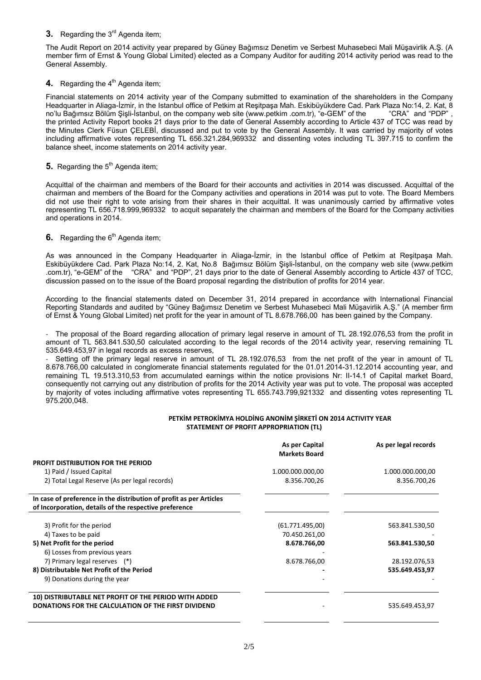## **3.** Regarding the 3<sup>rd</sup> Agenda item:

The Audit Report on 2014 activity year prepared by Güney Bağımsız Denetim ve Serbest Muhasebeci Mali Müşavirlik A.Ş. (A member firm of Ernst & Young Global Limited) elected as a Company Auditor for auditing 2014 activity period was read to the General Assembly.

## **4.** Regarding the 4<sup>th</sup> Agenda item;

Financial statements on 2014 activity year of the Company submitted to examination of the shareholders in the Company Headquarter in Aliaga-İzmir, in the Istanbul office of Petkim at Reşitpaşa Mah. Eskibüyükdere Cad. Park Plaza No:14, 2. Kat, 8 no'lu Bağımsız Bölüm Şişli-İstanbul, on the company web site (www.petkim .com.tr), "e-GEM" of the "CRA" and "PDP", the printed Activity Report books 21 days prior to the date of General Assembly according to Article 437 of TCC was read by the Minutes Clerk Füsun ÇELEBİ, discussed and put to vote by the General Assembly. It was carried by majority of votes including affirmative votes representing TL 656.321.284,969332 and dissenting votes including TL 397.715 to confirm the balance sheet, income statements on 2014 activity year.

## **5.** Regarding the 5<sup>th</sup> Agenda item;

Acquittal of the chairman and members of the Board for their accounts and activities in 2014 was discussed. Acquittal of the chairman and members of the Board for the Company activities and operations in 2014 was put to vote. The Board Members did not use their right to vote arising from their shares in their acquittal. It was unanimously carried by affirmative votes representing TL 656.718.999,969332 to acquit separately the chairman and members of the Board for the Company activities and operations in 2014.

# **6.** Regarding the 6<sup>th</sup> Agenda item;

As was announced in the Company Headquarter in Aliaga-İzmir, in the Istanbul office of Petkim at Reşitpaşa Mah. Eskibüyükdere Cad. Park Plaza No:14, 2. Kat, No.8 Bağımsız Bölüm Şişli-İstanbul, on the company web site (www.petkim .com.tr), "e-GEM" of the "CRA" and "PDP", 21 days prior to the date of General Assembly according to Article 437 of TCC, discussion passed on to the issue of the Board proposal regarding the distribution of profits for 2014 year.

According to the financial statements dated on December 31, 2014 prepared in accordance with International Financial Reporting Standards and audited by "Güney Bağımsız Denetim ve Serbest Muhasebeci Mali Müşavirlik A.Ş." (A member firm of Ernst & Young Global Limited) net profit for the year in amount of TL 8.678.766,00 has been gained by the Company.

The proposal of the Board regarding allocation of primary legal reserve in amount of TL 28.192.076,53 from the profit in amount of TL 563.841.530,50 calculated according to the legal records of the 2014 activity year, reserving remaining TL 535.649.453,97 in legal records as excess reserves,

Setting off the primary legal reserve in amount of TL 28.192.076,53 from the net profit of the year in amount of TL 8.678.766,00 calculated in conglomerate financial statements regulated for the 01.01.2014-31.12.2014 accounting year, and remaining TL 19.513.310,53 from accumulated earnings within the notice provisions Nr: II-14.1 of Capital market Board, consequently not carrying out any distribution of profits for the 2014 Activity year was put to vote. The proposal was accepted by majority of votes including affirmative votes representing TL 655.743.799,921332 and dissenting votes representing TL 975.200,048.

#### PETKİM PETROKİMYA HOLDİNG ANONİM ŞİRKETİ ON 2014 ACTIVITY YEAR  **STATEMENT OF PROFIT APPROPRIATION (TL)**

|                                                                                                                               | As per Capital<br><b>Markets Board</b> | As per legal records |
|-------------------------------------------------------------------------------------------------------------------------------|----------------------------------------|----------------------|
| PROFIT DISTRIBUTION FOR THE PERIOD                                                                                            |                                        |                      |
| 1) Paid / Issued Capital                                                                                                      | 1.000.000.000,00                       | 1.000.000.000,00     |
| 2) Total Legal Reserve (As per legal records)                                                                                 | 8.356.700,26                           | 8.356.700,26         |
| In case of preference in the distribution of profit as per Articles<br>of Incorporation, details of the respective preference |                                        |                      |
| 3) Profit for the period                                                                                                      | (61.771.495.00)                        | 563.841.530,50       |
| 4) Taxes to be paid                                                                                                           | 70.450.261,00                          |                      |
| 5) Net Profit for the period                                                                                                  | 8.678.766,00                           | 563.841.530,50       |
| 6) Losses from previous years                                                                                                 |                                        |                      |
| 7) Primary legal reserves (*)                                                                                                 | 8.678.766,00                           | 28.192.076,53        |
| 8) Distributable Net Profit of the Period                                                                                     |                                        | 535.649.453,97       |
| 9) Donations during the year                                                                                                  |                                        |                      |
| 10) DISTRIBUTABLE NET PROFIT OF THE PERIOD WITH ADDED                                                                         |                                        |                      |
| DONATIONS FOR THE CALCULATION OF THE FIRST DIVIDEND                                                                           |                                        | 535.649.453,97       |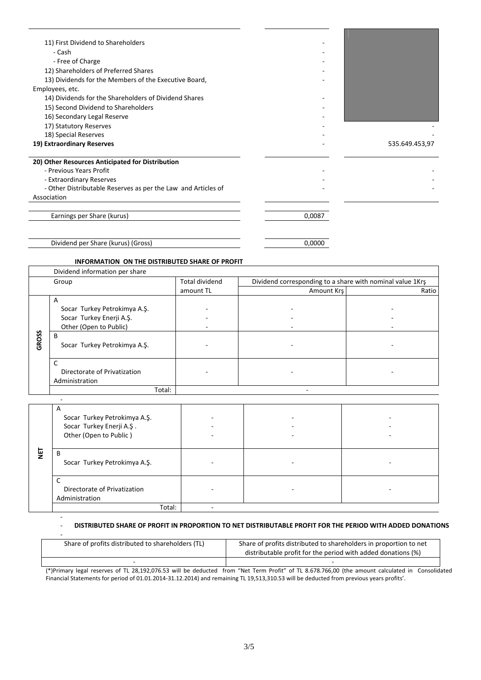| 11) First Dividend to Shareholders                            |        |                |
|---------------------------------------------------------------|--------|----------------|
| - Cash                                                        |        |                |
| - Free of Charge                                              |        |                |
| 12) Shareholders of Preferred Shares                          |        |                |
| 13) Dividends for the Members of the Executive Board,         |        |                |
| Employees, etc.                                               |        |                |
| 14) Dividends for the Shareholders of Dividend Shares         |        |                |
| 15) Second Dividend to Shareholders                           |        |                |
| 16) Secondary Legal Reserve                                   |        |                |
| 17) Statutory Reserves                                        |        |                |
| 18) Special Reserves                                          |        |                |
| 19) Extraordinary Reserves                                    |        | 535.649.453,97 |
| 20) Other Resources Anticipated for Distribution              |        |                |
| - Previous Years Profit                                       |        |                |
| - Extraordinary Reserves                                      |        |                |
| - Other Distributable Reserves as per the Law and Articles of |        |                |
| Association                                                   |        |                |
| Earnings per Share (kurus)                                    | 0,0087 |                |

Dividend per Share (kurus) (Gross) 0,0000

 $\overline{a}$ 

‐

### **INFORMATION ON THE DISTRIBUTED SHARE OF PROFIT**

|       | Dividend information per share                      |                       |                                                           |       |
|-------|-----------------------------------------------------|-----------------------|-----------------------------------------------------------|-------|
|       | Group                                               | <b>Total dividend</b> | Dividend corresponding to a share with nominal value 1Krs |       |
|       |                                                     | amount TL             | Amount Krs                                                | Ratio |
|       | A                                                   |                       |                                                           |       |
|       | Socar Turkey Petrokimya A.Ş.                        |                       |                                                           |       |
|       | Socar Turkey Enerji A.Ş.                            |                       |                                                           |       |
|       | Other (Open to Public)                              |                       |                                                           |       |
| GROSS | B<br>Socar Turkey Petrokimya A.Ş.                   |                       |                                                           |       |
|       | C<br>Directorate of Privatization<br>Administration |                       |                                                           |       |
|       | Total:                                              |                       |                                                           |       |

|            | A<br>Socar Turkey Petrokimya A.Ş.<br>Socar Turkey Enerji A.Ş.<br>Other (Open to Public) |  |  |
|------------|-----------------------------------------------------------------------------------------|--|--|
| <b>Tal</b> | D<br>к<br>Socar Turkey Petrokimya A.Ş.                                                  |  |  |
|            | Directorate of Privatization<br>Administration                                          |  |  |
|            | Total:                                                                                  |  |  |

#### ‐ **DISTRIBUTED SHARE OF PROFIT IN PROPORTION TO NET DISTRIBUTABLE PROFIT FOR THE PERIOD WITH ADDED DONATIONS**

| Share of profits distributed to shareholders (TL) | Share of profits distributed to shareholders in proportion to net<br>distributable profit for the period with added donations (%) |
|---------------------------------------------------|-----------------------------------------------------------------------------------------------------------------------------------|
|                                                   |                                                                                                                                   |

(\*)Primary legal reserves of TL 28,192,076.53 will be deducted from "Net Term Profit" of TL 8.678.766,00 (the amount calculated in Consolidated Financial Statements for period of 01.01.2014‐31.12.2014) and remaining TL 19,513,310.53 will be deducted from previous years profits'.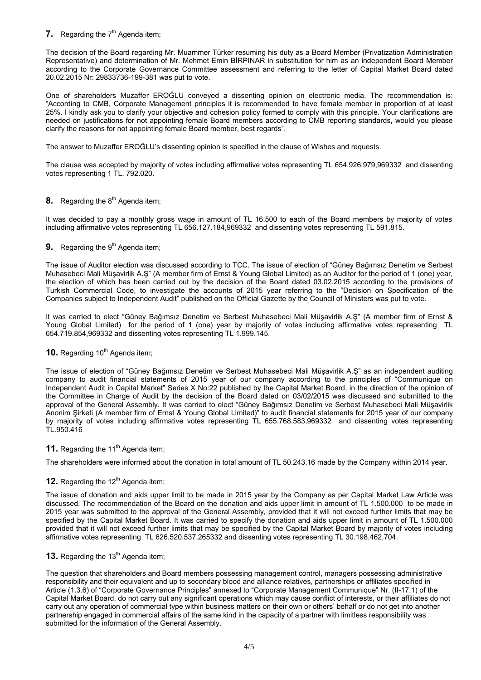## **7.** Regarding the  $7<sup>th</sup>$  Agenda item;

The decision of the Board regarding Mr. Muammer Türker resuming his duty as a Board Member (Privatization Administration Representative) and determination of Mr. Mehmet Emin BİRPINAR in substitution for him as an independent Board Member according to the Corporate Governance Committee assessment and referring to the letter of Capital Market Board dated 20.02.2015 Nr: 29833736-199-381 was put to vote.

One of shareholders Muzaffer EROĞLU conveyed a dissenting opinion on electronic media. The recommendation is: "According to CMB, Corporate Management principles it is recommended to have female member in proportion of at least 25%. I kindly ask you to clarify your objective and cohesion policy formed to comply with this principle. Your clarifications are needed on justifications for not appointing female Board members according to CMB reporting standards, would you please clarify the reasons for not appointing female Board member, best regards".

The answer to Muzaffer EROĞLU's dissenting opinion is specified in the clause of Wishes and requests.

The clause was accepted by majority of votes including affirmative votes representing TL 654.926.979,969332 and dissenting votes representing 1 TL. 792.020.

## **8.** Regarding the 8<sup>th</sup> Agenda item;

It was decided to pay a monthly gross wage in amount of TL 16.500 to each of the Board members by majority of votes including affirmative votes representing TL 656.127.184,969332 and dissenting votes representing TL 591.815.

# **9.** Regarding the 9<sup>th</sup> Agenda item;

The issue of Auditor election was discussed according to TCC. The issue of election of "Güney Bağımsız Denetim ve Serbest Muhasebeci Mali Müşavirlik A.Ş" (A member firm of Ernst & Young Global Limited) as an Auditor for the period of 1 (one) year, the election of which has been carried out by the decision of the Board dated 03.02.2015 according to the provisions of Turkish Commercial Code, to investigate the accounts of 2015 year referring to the "Decision on Specification of the Companies subject to Independent Audit" published on the Official Gazette by the Council of Ministers was put to vote.

It was carried to elect "Güney Bağımsız Denetim ve Serbest Muhasebeci Mali Müşavirlik A.Ş" (A member firm of Ernst & Young Global Limited) for the period of 1 (one) year by majority of votes including affirmative votes representing TL 654.719.854,969332 and dissenting votes representing TL 1.999.145.

## **10.** Regarding 10<sup>th</sup> Agenda item:

The issue of election of "Güney Bağımsız Denetim ve Serbest Muhasebeci Mali Müşavirlik A.Ş" as an independent auditing company to audit financial statements of 2015 year of our company according to the principles of "Communique on Independent Audit in Capital Market" Series X No:22 published by the Capital Market Board, in the direction of the opinion of the Committee in Charge of Audit by the decision of the Board dated on 03/02/2015 was discussed and submitted to the approval of the General Assembly. It was carried to elect "Güney Bağımsız Denetim ve Serbest Muhasebeci Mali Müşavirlik Anonim Şirketi (A member firm of Ernst & Young Global Limited)" to audit financial statements for 2015 year of our company by majority of votes including affirmative votes representing TL 655.768.583,969332 and dissenting votes representing TL.950.416

### **11.** Regarding the 11<sup>th</sup> Agenda item;

The shareholders were informed about the donation in total amount of TL 50.243,16 made by the Company within 2014 year.

### **12.** Regarding the 12<sup>th</sup> Agenda item;

The issue of donation and aids upper limit to be made in 2015 year by the Company as per Capital Market Law Article was discussed. The recommendation of the Board on the donation and aids upper limit in amount of TL 1.500.000 to be made in 2015 year was submitted to the approval of the General Assembly, provided that it will not exceed further limits that may be specified by the Capital Market Board. It was carried to specify the donation and aids upper limit in amount of TL 1.500.000 provided that it will not exceed further limits that may be specified by the Capital Market Board by majority of votes including affirmative votes representing TL 626.520.537,265332 and dissenting votes representing TL 30.198.462,704.

## **13.** Regarding the 13<sup>th</sup> Agenda item;

The question that shareholders and Board members possessing management control, managers possessing administrative responsibility and their equivalent and up to secondary blood and alliance relatives, partnerships or affiliates specified in Article (1.3.6) of "Corporate Governance Principles" annexed to "Corporate Management Communique" Nr. (II-17.1) of the Capital Market Board, do not carry out any significant operations which may cause conflict of interests, or their affiliates do not carry out any operation of commercial type within business matters on their own or others' behalf or do not get into another partnership engaged in commercial affairs of the same kind in the capacity of a partner with limitless responsibility was submitted for the information of the General Assembly.